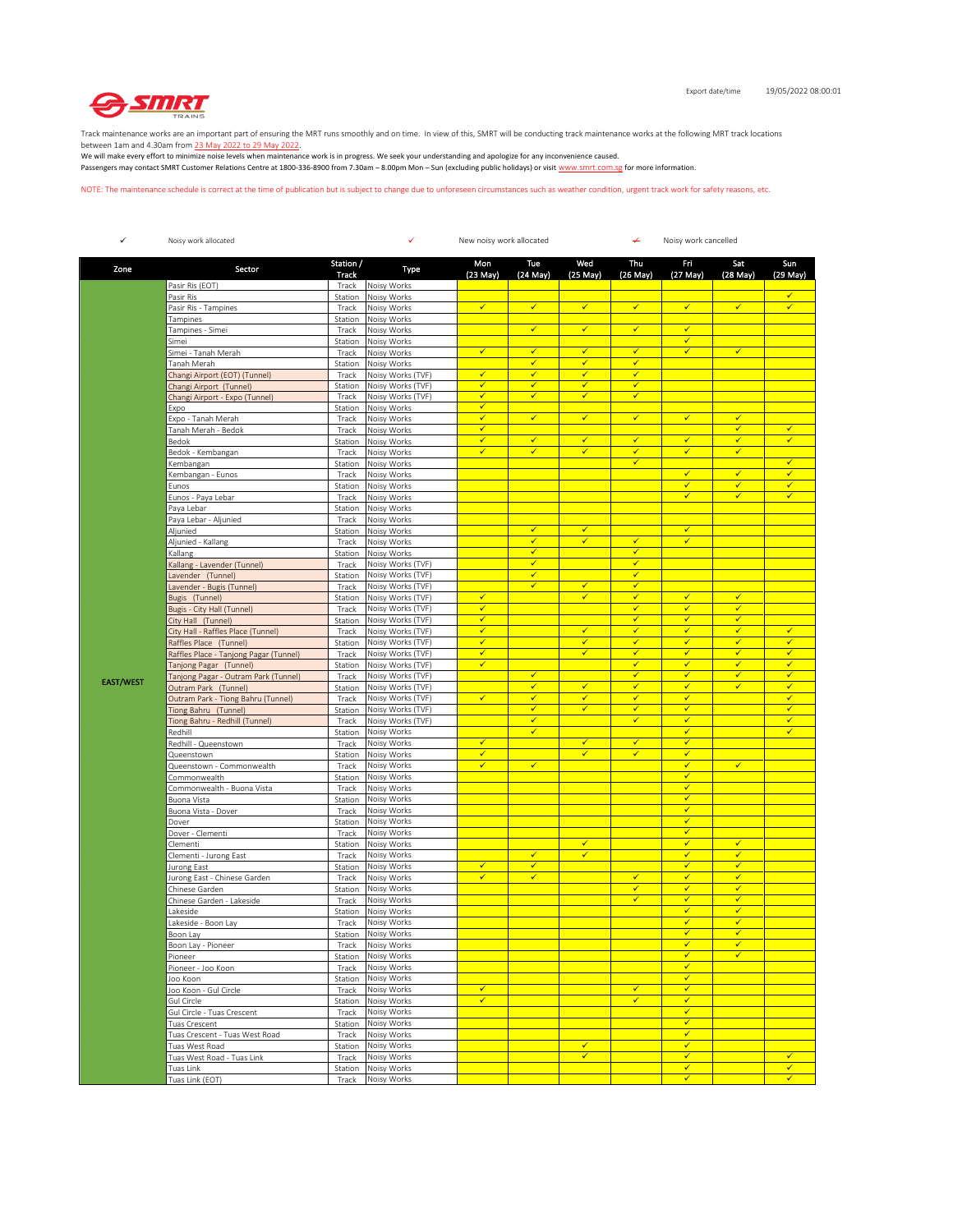

Track maintenance works are an important part of ensuring the MRT runs smoothly and on time. In view of this, SMRT will be conducting track maintenance works at the following MRT track locations

between 1am and 4.30am from <u>23 May 2022 to 29 May 2022</u>.<br>We will make every effort to minimize noise levels when maintenance work is in progress. We seek your understanding and apologize for any inconvenience caused. Passengers may contact SMRT Customer Relations Centre at 1800-336-8900 from 7.30am – 8.00pm Mon – Sun (excluding public holidays) or visit www.smrt.com.sg for more information.

NOTE: The maintenance schedule is correct at the time of publication but is subject to change due to unforeseen circumstances such as weather condition, urgent track work for safety reasons, etc.

| $\checkmark$     | Noisy work allocated                                             |                           | ✓<br>New noisy work allocated          |                              |                              |                              | ↵                            | Noisy work cancelled         |                              |                                      |  |
|------------------|------------------------------------------------------------------|---------------------------|----------------------------------------|------------------------------|------------------------------|------------------------------|------------------------------|------------------------------|------------------------------|--------------------------------------|--|
| Zone             | Sector                                                           | Station /<br><b>Track</b> | Type                                   | Mon<br>(23 May)              | Tue<br>(24 May)              | Wed<br>(25 May)              | Thu<br>(26 May)              | Fri<br>(27 May)              | Sat<br>$(28$ May $)$         | Sun<br>(29 May)                      |  |
|                  | Pasir Ris (EOT)                                                  | Track                     | Noisy Works                            |                              |                              |                              |                              |                              |                              |                                      |  |
|                  | Pasir Ris                                                        | Station                   | Noisy Works                            | $\checkmark$                 | $\checkmark$                 | $\checkmark$                 | $\checkmark$                 | $\checkmark$                 | $\checkmark$                 | $\checkmark$                         |  |
|                  | Pasir Ris - Tampines<br>Tampines                                 | Track<br>Station          | Noisy Works<br>Noisy Works             |                              |                              |                              |                              |                              |                              |                                      |  |
|                  | Tampines - Simei                                                 | Track                     | Noisy Works                            |                              | $\checkmark$                 | $\checkmark$                 | $\checkmark$                 | $\checkmark$                 |                              |                                      |  |
|                  | Simei                                                            | Station                   | Noisy Works                            |                              |                              |                              |                              | ✓                            |                              |                                      |  |
|                  | Simei - Tanah Merah                                              | Track                     | Noisy Works                            | $\checkmark$                 | $\checkmark$<br>✓            | $\checkmark$<br>✓            | $\checkmark$<br>$\checkmark$ | $\checkmark$                 | $\checkmark$                 |                                      |  |
|                  | Tanah Merah<br>Changi Airport (EOT) (Tunnel)                     | Station<br>Track          | Noisy Works<br>Noisy Works (TVF)       | $\checkmark$                 | $\checkmark$                 | $\checkmark$                 | $\checkmark$                 |                              |                              |                                      |  |
|                  | Changi Airport (Tunnel)                                          | Station                   | Noisy Works (TVF)                      | ✓                            | ✓                            | ✓                            | $\checkmark$                 |                              |                              |                                      |  |
|                  | Changi Airport - Expo (Tunnel)                                   | Track                     | Noisy Works (TVF)                      | ✓                            | $\checkmark$                 | $\checkmark$                 | $\checkmark$                 |                              |                              |                                      |  |
|                  | Expo<br>Expo - Tanah Merah                                       | Station<br>Track          | Noisy Works<br>Noisy Works             | $\checkmark$<br>$\checkmark$ | $\checkmark$                 | $\checkmark$                 | $\checkmark$                 | $\checkmark$                 | $\checkmark$                 |                                      |  |
|                  | Tanah Merah - Bedok                                              | Track                     | Noisy Works                            | ✓                            |                              |                              |                              |                              | $\checkmark$                 | ✓                                    |  |
|                  | Bedok                                                            | Station                   | Noisy Works                            | ✓                            | $\checkmark$                 | $\checkmark$                 | $\checkmark$                 | $\checkmark$                 | $\checkmark$                 | $\checkmark$                         |  |
|                  | Bedok - Kembangan                                                | Track                     | Noisy Works                            | ✓                            | $\checkmark$                 | $\checkmark$                 | $\checkmark$                 | ✓                            | $\checkmark$                 |                                      |  |
|                  | Kembangan<br>Kembangan - Eunos                                   | Station<br>Track          | Noisy Works<br>Noisy Works             |                              |                              |                              | $\checkmark$                 | $\checkmark$                 | $\checkmark$                 | $\checkmark$<br>$\blacktriangledown$ |  |
|                  | Eunos                                                            | Station                   | Noisy Works                            |                              |                              |                              |                              | √                            | $\checkmark$                 | $\checkmark$                         |  |
|                  | Eunos - Paya Lebar                                               | Track                     | Noisy Works                            |                              |                              |                              |                              | $\checkmark$                 | $\checkmark$                 | $\checkmark$                         |  |
|                  | Paya Lebar                                                       | Station                   | Noisy Works                            |                              |                              |                              |                              |                              |                              |                                      |  |
|                  | Paya Lebar - Aljunied                                            | Track                     | Noisy Works                            |                              | $\checkmark$                 | $\checkmark$                 |                              | $\checkmark$                 |                              |                                      |  |
|                  | Aljunied<br>Aljunied - Kallang                                   | Station<br>Track          | Noisy Works<br>Noisy Works             |                              | ✔                            | ✓                            | ✔                            | $\checkmark$                 |                              |                                      |  |
|                  | Kallang                                                          | Station                   | Noisy Works                            |                              | ✓                            |                              | $\checkmark$                 |                              |                              |                                      |  |
|                  | Kallang - Lavender (Tunnel)                                      | Track                     | Noisy Works (TVF)                      |                              | $\checkmark$                 |                              | $\checkmark$                 |                              |                              |                                      |  |
|                  | Lavender (Tunnel)                                                | Station                   | Noisy Works (TVF)                      |                              | $\checkmark$                 |                              | $\checkmark$                 |                              |                              |                                      |  |
|                  | Lavender - Bugis (Tunnel)<br>Bugis (Tunnel)                      | Track<br>Station          | Noisy Works (TVF)<br>Noisy Works (TVF) | ✓                            | $\checkmark$                 | $\checkmark$<br>✓            | $\checkmark$<br>✔            | ✔                            | ✔                            |                                      |  |
|                  | Bugis - City Hall (Tunnel)                                       | Track                     | Noisy Works (TVF)                      | $\checkmark$                 |                              |                              | $\checkmark$                 | $\checkmark$                 | $\checkmark$                 |                                      |  |
|                  | City Hall (Tunnel)                                               | Station                   | Noisy Works (TVF)                      | ✓                            |                              |                              | ✓                            | ✓                            | $\checkmark$                 |                                      |  |
|                  | City Hall - Raffles Place (Tunnel)                               | Track                     | Noisy Works (TVF)                      | $\checkmark$                 |                              | $\checkmark$                 | $\checkmark$                 | $\checkmark$                 | $\checkmark$                 | $\checkmark$                         |  |
|                  | Raffles Place (Tunnel)<br>Raffles Place - Tanjong Pagar (Tunnel) | Station<br>Track          | Noisy Works (TVF)<br>Noisy Works (TVF) | $\checkmark$<br>✓            |                              | $\checkmark$<br>$\checkmark$ | $\checkmark$<br>$\checkmark$ | $\checkmark$<br>√            | $\checkmark$<br>$\checkmark$ | $\checkmark$<br>$\checkmark$         |  |
|                  | Tanjong Pagar (Tunnel)                                           | Station                   | Noisy Works (TVF)                      | ✓                            |                              |                              | $\checkmark$                 | $\checkmark$                 | $\checkmark$                 | $\checkmark$                         |  |
| <b>EAST/WEST</b> | Tanjong Pagar - Outram Park (Tunnel)                             | Track                     | Noisy Works (TVF)                      |                              | $\checkmark$                 |                              | $\checkmark$                 | $\checkmark$                 | $\checkmark$                 | $\checkmark$                         |  |
|                  | Outram Park (Tunnel)                                             | Station                   | Noisy Works (TVF)                      |                              | $\checkmark$                 | $\checkmark$                 | $\checkmark$                 | $\checkmark$                 | $\checkmark$                 | $\checkmark$                         |  |
|                  | Outram Park - Tiong Bahru (Tunnel)<br>Tiong Bahru (Tunnel)       | Track<br>Station          | Noisy Works (TVF)<br>Noisy Works (TVF) | $\checkmark$                 | $\checkmark$<br>✔            | $\checkmark$<br>$\checkmark$ | $\checkmark$<br>✔            | $\checkmark$<br>$\checkmark$ |                              | $\checkmark$<br>$\checkmark$         |  |
|                  | Tiong Bahru - Redhill (Tunnel)                                   | Track                     | Noisy Works (TVF)                      |                              | ✓                            |                              | $\checkmark$                 | $\checkmark$                 |                              | $\checkmark$                         |  |
|                  | Redhill                                                          | Station                   | Noisy Works                            |                              | $\checkmark$                 |                              |                              | $\checkmark$                 |                              | $\checkmark$                         |  |
|                  | Redhill - Queenstown                                             | Track                     | Noisy Works                            | $\checkmark$                 |                              | $\checkmark$                 | $\checkmark$                 | $\checkmark$                 |                              |                                      |  |
|                  | Queenstown<br>Queenstown - Commonwealth                          | Station<br>Track          | Noisy Works<br>Noisy Works             | $\checkmark$<br>✓            | ✔                            | $\checkmark$                 | $\checkmark$                 | $\checkmark$<br>✔            | ✓                            |                                      |  |
|                  | Commonwealth                                                     | Station                   | Noisy Works                            |                              |                              |                              |                              | $\checkmark$                 |                              |                                      |  |
|                  | Commonwealth - Buona Vista                                       | Track                     | Noisy Works                            |                              |                              |                              |                              | $\checkmark$                 |                              |                                      |  |
|                  | Buona Vista                                                      | Station                   | Noisy Works                            |                              |                              |                              |                              | $\checkmark$                 |                              |                                      |  |
|                  | Buona Vista - Dover<br>Dover                                     | Track<br>Station          | Noisy Works<br>Noisy Works             |                              |                              |                              |                              | $\checkmark$<br>√            |                              |                                      |  |
|                  | Dover - Clementi                                                 | Track                     | Noisy Works                            |                              |                              |                              |                              | $\checkmark$                 |                              |                                      |  |
|                  | Clementi                                                         | Station                   | Noisy Works                            |                              |                              | $\checkmark$                 |                              | $\checkmark$                 | $\checkmark$                 |                                      |  |
|                  | Clementi - Jurong East                                           | Track                     | Noisy Works                            | ✓                            | $\checkmark$<br>$\checkmark$ | $\checkmark$                 |                              | $\checkmark$<br>$\checkmark$ | $\checkmark$<br>$\checkmark$ |                                      |  |
|                  | Jurong East<br>Jurong East - Chinese Garden                      | Station<br>Track          | Noisy Works<br>Noisy Works             | ✓                            | $\checkmark$                 |                              | $\checkmark$                 | √                            | ✔                            |                                      |  |
|                  | Chinese Garden                                                   | Station                   | Noisy Works                            |                              |                              |                              | $\checkmark$                 | $\checkmark$                 | $\checkmark$                 |                                      |  |
|                  | Chinese Garden - Lakeside                                        | Track                     | Noisy Works                            |                              |                              |                              | $\checkmark$                 | ✓                            | $\checkmark$                 |                                      |  |
|                  | akeside                                                          | Station                   | Noisy Works                            |                              |                              |                              |                              | $\checkmark$<br>$\checkmark$ | $\checkmark$<br>$\checkmark$ |                                      |  |
|                  | Lakeside - Boon Lay<br>Boon Lay                                  | Track                     | Noisy Works<br>Station Noisy Works     |                              |                              |                              |                              | ✓                            | ✓                            |                                      |  |
|                  | Boon Lay - Pioneer                                               | Track                     | Noisy Works                            |                              |                              |                              |                              | $\checkmark$                 | $\checkmark$                 |                                      |  |
|                  | Pioneer                                                          | Station                   | Noisy Works                            |                              |                              |                              |                              | $\checkmark$                 | $\checkmark$                 |                                      |  |
|                  | Pioneer - Joo Koon                                               | Track                     | Noisy Works                            |                              |                              |                              |                              | $\checkmark$                 |                              |                                      |  |
|                  | Joo Koon<br>Joo Koon - Gul Circle                                | Station<br>Track          | Noisy Works<br>Noisy Works             | ✓                            |                              |                              | $\checkmark$                 | $\checkmark$<br>$\checkmark$ |                              |                                      |  |
|                  | Gul Circle                                                       | Station                   | Noisy Works                            | $\overline{\checkmark}$      |                              |                              | $\checkmark$                 | $\checkmark$                 |                              |                                      |  |
|                  | Gul Circle - Tuas Crescent                                       | Track                     | Noisy Works                            |                              |                              |                              |                              | $\checkmark$                 |                              |                                      |  |
|                  | Tuas Crescent                                                    | Station                   | Noisy Works                            |                              |                              |                              |                              | $\checkmark$                 |                              |                                      |  |
|                  | Tuas Crescent - Tuas West Road<br>Tuas West Road                 | Track                     | Noisy Works<br>Noisy Works             |                              |                              | $\checkmark$                 |                              | $\checkmark$<br>$\checkmark$ |                              |                                      |  |
|                  | Tuas West Road - Tuas Link                                       | Station<br>Track          | Noisy Works                            |                              |                              | $\checkmark$                 |                              | $\checkmark$                 |                              | $\checkmark$                         |  |
|                  | Tuas Link                                                        | Station                   | Noisy Works                            |                              |                              |                              |                              | $\checkmark$                 |                              | $\checkmark$                         |  |
|                  | Tuas Link (EOT)                                                  | Track                     | Noisy Works                            |                              |                              |                              |                              | $\checkmark$                 |                              | $\checkmark$                         |  |